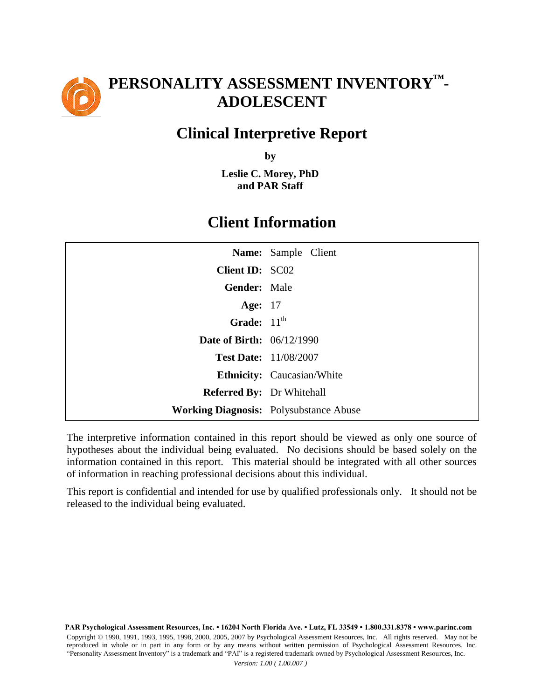

# **PERSONALITY ASSESSMENT INVENTORY™- ADOLESCENT**

## **Clinical Interpretive Report**

**by**

**Leslie C. Morey, PhD and PAR Staff**

## **Client Information**

|                                  | Name: Sample Client                           |
|----------------------------------|-----------------------------------------------|
| Client ID: SC02                  |                                               |
| Gender: Male                     |                                               |
| <b>Age:</b> 17                   |                                               |
| Grade: $11th$                    |                                               |
| <b>Date of Birth: 06/12/1990</b> |                                               |
|                                  | <b>Test Date: 11/08/2007</b>                  |
|                                  | <b>Ethnicity:</b> Caucasian/White             |
| <b>Referred By:</b> Dr Whitehall |                                               |
|                                  | <b>Working Diagnosis:</b> Polysubstance Abuse |

The interpretive information contained in this report should be viewed as only one source of hypotheses about the individual being evaluated. No decisions should be based solely on the information contained in this report. This material should be integrated with all other sources of information in reaching professional decisions about this individual.

This report is confidential and intended for use by qualified professionals only. It should not be released to the individual being evaluated.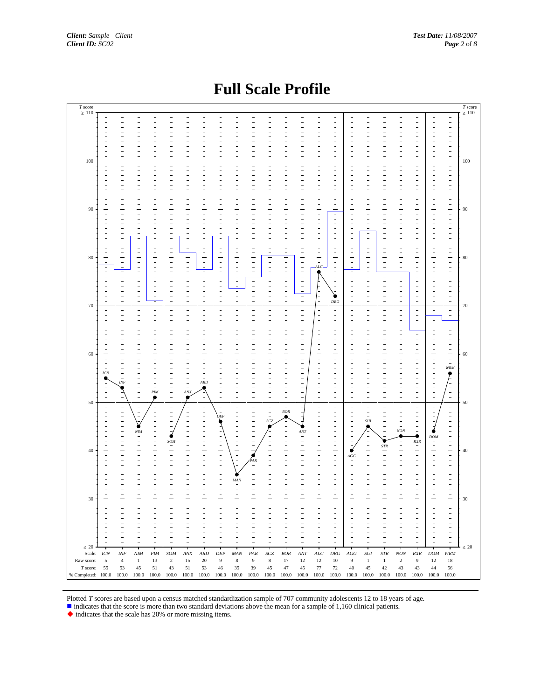#### **Full Scale Profile**



Plotted *T* scores are based upon a census matched standardization sample of 707 community adolescents 12 to 18 years of age.

indicates that the score is more than two standard deviations above the mean for a sample of 1,160 clinical patients.

indicates that the scale has 20% or more missing items.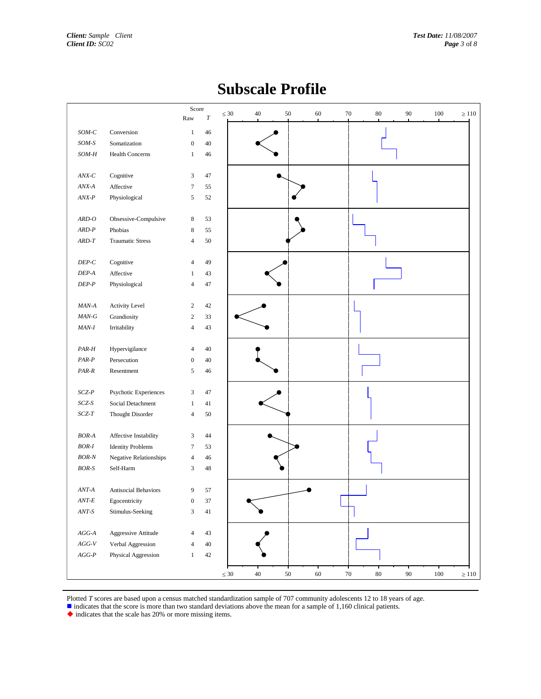|                                                     | Score                    | $\leq 30$ | 40     | $50\,$ | 60 | $70\,$ | $80\,$ | 90     | $100\,$ | $\geq 110$ |
|-----------------------------------------------------|--------------------------|-----------|--------|--------|----|--------|--------|--------|---------|------------|
|                                                     | Raw<br>$\cal T$          |           |        |        |    |        |        |        |         |            |
| $SOM-C$<br>Conversion                               | $\mathbf{1}$<br>46       |           |        |        |    |        |        |        |         |            |
| $SOM-S$<br>Somatization                             | $\boldsymbol{0}$<br>40   |           |        |        |    |        |        |        |         |            |
| $SOM\text{-}H$<br><b>Health Concerns</b>            | 46<br>$\mathbf{1}$       |           |        |        |    |        |        |        |         |            |
|                                                     |                          |           |        |        |    |        |        |        |         |            |
| $\ensuremath{\textit{ANX-}\mathit{C}}$<br>Cognitive | 47<br>3                  |           |        |        |    |        |        |        |         |            |
| Affective<br>$ANX-A$                                | 55<br>$\tau$             |           |        |        |    |        |        |        |         |            |
| $\ensuremath{\textit{ANX-P}}$<br>Physiological      | 52<br>5                  |           |        |        |    |        |        |        |         |            |
|                                                     |                          |           |        |        |    |        |        |        |         |            |
| $ARD-O$<br>Obsessive-Compulsive                     | $\,$ 8 $\,$<br>53        |           |        |        |    |        |        |        |         |            |
| $ARD-P$<br>Phobias                                  | 55<br>8                  |           |        |        |    |        |        |        |         |            |
| $ARD\text{-}T$<br><b>Traumatic Stress</b>           | 50<br>$\overline{4}$     |           |        |        |    |        |        |        |         |            |
|                                                     |                          |           |        |        |    |        |        |        |         |            |
| $DEP\hbox{-} C$<br>Cognitive                        | 49<br>$\overline{4}$     |           |        |        |    |        |        |        |         |            |
| $DEP\text{-}A$<br>Affective<br>$DEP-P$              | 43<br>1<br>47            |           |        |        |    |        |        |        |         |            |
| Physiological                                       | $\overline{4}$           |           |        |        |    |        |        |        |         |            |
| $MAN-A$<br>Activity Level                           | 42<br>$\boldsymbol{2}$   |           |        |        |    |        |        |        |         |            |
| $MAN-G$<br>Grandiosity                              | $\sqrt{2}$<br>33         |           |        |        |    |        |        |        |         |            |
| $MAN-I$<br>Irritability                             | $\overline{4}$<br>43     |           |        |        |    |        |        |        |         |            |
|                                                     |                          |           |        |        |    |        |        |        |         |            |
| $PAR-H$<br>Hypervigilance                           | 40<br>$\overline{4}$     |           |        |        |    |        |        |        |         |            |
| $PAR-P$<br>Persecution                              | 40<br>$\boldsymbol{0}$   |           |        |        |    |        |        |        |         |            |
| PAR-R<br>Resentment                                 | $\sqrt{5}$<br>46         |           |        |        |    |        |        |        |         |            |
|                                                     |                          |           |        |        |    |        |        |        |         |            |
| $SCZ-P$<br>Psychotic Experiences                    | $\mathfrak z$<br>47      |           |        |        |    |        |        |        |         |            |
| $SCZ-S$<br>Social Detachment                        | 41<br>1                  |           |        |        |    |        |        |        |         |            |
| $SCZ\text{-}T$<br>Thought Disorder                  | 50<br>$\overline{4}$     |           |        |        |    |        |        |        |         |            |
|                                                     |                          |           |        |        |    |        |        |        |         |            |
| $\it BOR\text{-}A$<br>Affective Instability         | 44<br>3                  |           |        |        |    |        |        |        |         |            |
| $BOR-I$<br><b>Identity Problems</b>                 | 53<br>7                  |           |        |        |    |        |        |        |         |            |
| $\it BOR\mbox{-}N$<br>Negative Relationships        | 46<br>$\overline{4}$     |           |        |        |    |        |        |        |         |            |
| $BOR-S$<br>Self-Harm                                | 3<br>48                  |           |        |        |    |        |        |        |         |            |
| Antisocial Behaviors                                | 57<br>9                  |           |        |        |    |        |        |        |         |            |
| $ANT-A$<br>$ANT-E$                                  | 37<br>$\mathbf{0}$       |           |        |        |    |        |        |        |         |            |
| Egocentricity<br>$ANT\text{-}S$<br>Stimulus-Seeking | $\mathfrak z$<br>$41\,$  |           |        |        |    |        |        |        |         |            |
|                                                     |                          |           |        |        |    |        |        |        |         |            |
| $AGG\text{-}A$<br>Aggressive Attitude               | 43<br>$\overline{4}$     |           |        |        |    |        |        |        |         |            |
| $AGG\text{-}V$<br>Verbal Aggression                 | $40\,$<br>$\overline{4}$ |           |        |        |    |        |        |        |         |            |
| $AGG\text{-}P$<br>Physical Aggression               | $42\,$<br>$\mathbf{1}$   |           |        |        |    |        |        |        |         |            |
|                                                     |                          |           |        |        |    |        |        |        |         |            |
|                                                     |                          | $\leq 30$ | $40\,$ | $50\,$ | 60 | $70\,$ | $80\,$ | $90\,$ | $100\,$ | $\geq 110$ |

## **Subscale Profile**

Plotted *T* scores are based upon a census matched standardization sample of 707 community adolescents 12 to 18 years of age.

indicates that the score is more than two standard deviations above the mean for a sample of 1,160 clinical patients.

 $\blacklozenge$  indicates that the scale has 20% or more missing items.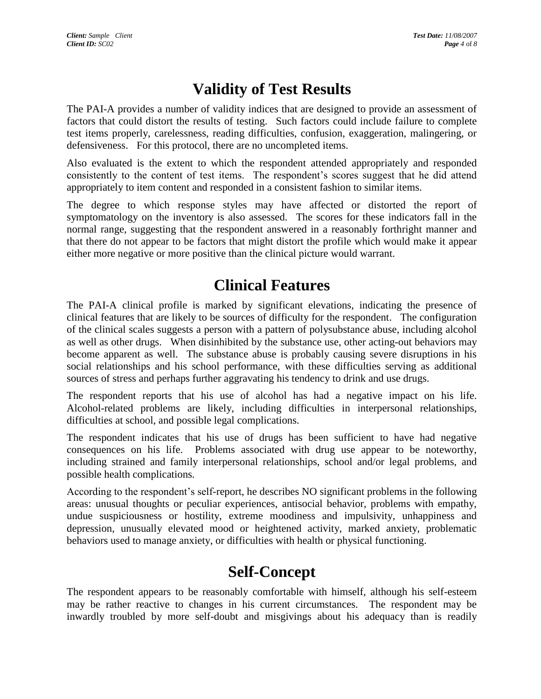# **Validity of Test Results**

The PAI-A provides a number of validity indices that are designed to provide an assessment of factors that could distort the results of testing. Such factors could include failure to complete test items properly, carelessness, reading difficulties, confusion, exaggeration, malingering, or defensiveness. For this protocol, there are no uncompleted items.

Also evaluated is the extent to which the respondent attended appropriately and responded consistently to the content of test items. The respondent's scores suggest that he did attend appropriately to item content and responded in a consistent fashion to similar items.

The degree to which response styles may have affected or distorted the report of symptomatology on the inventory is also assessed. The scores for these indicators fall in the normal range, suggesting that the respondent answered in a reasonably forthright manner and that there do not appear to be factors that might distort the profile which would make it appear either more negative or more positive than the clinical picture would warrant.

## **Clinical Features**

The PAI-A clinical profile is marked by significant elevations, indicating the presence of clinical features that are likely to be sources of difficulty for the respondent. The configuration of the clinical scales suggests a person with a pattern of polysubstance abuse, including alcohol as well as other drugs. When disinhibited by the substance use, other acting-out behaviors may become apparent as well. The substance abuse is probably causing severe disruptions in his social relationships and his school performance, with these difficulties serving as additional sources of stress and perhaps further aggravating his tendency to drink and use drugs.

The respondent reports that his use of alcohol has had a negative impact on his life. Alcohol-related problems are likely, including difficulties in interpersonal relationships, difficulties at school, and possible legal complications.

The respondent indicates that his use of drugs has been sufficient to have had negative consequences on his life. Problems associated with drug use appear to be noteworthy, including strained and family interpersonal relationships, school and/or legal problems, and possible health complications.

According to the respondent's self-report, he describes NO significant problems in the following areas: unusual thoughts or peculiar experiences, antisocial behavior, problems with empathy, undue suspiciousness or hostility, extreme moodiness and impulsivity, unhappiness and depression, unusually elevated mood or heightened activity, marked anxiety, problematic behaviors used to manage anxiety, or difficulties with health or physical functioning.

#### **Self-Concept**

The respondent appears to be reasonably comfortable with himself, although his self-esteem may be rather reactive to changes in his current circumstances. The respondent may be inwardly troubled by more self-doubt and misgivings about his adequacy than is readily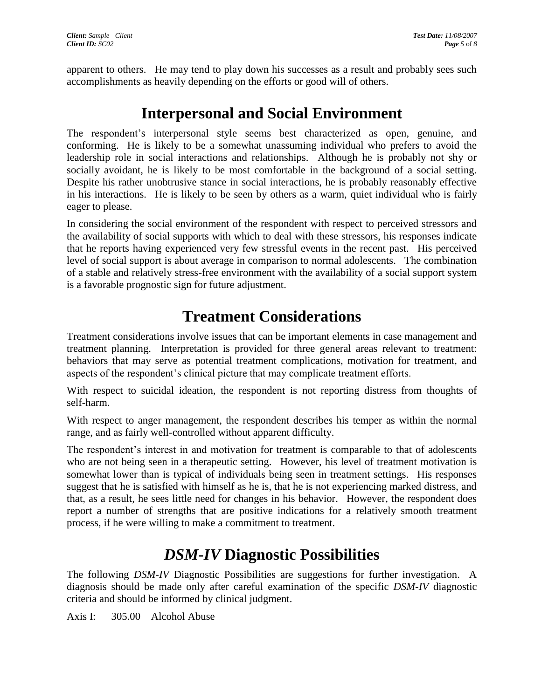apparent to others. He may tend to play down his successes as a result and probably sees such accomplishments as heavily depending on the efforts or good will of others.

## **Interpersonal and Social Environment**

The respondent's interpersonal style seems best characterized as open, genuine, and conforming. He is likely to be a somewhat unassuming individual who prefers to avoid the leadership role in social interactions and relationships. Although he is probably not shy or socially avoidant, he is likely to be most comfortable in the background of a social setting. Despite his rather unobtrusive stance in social interactions, he is probably reasonably effective in his interactions. He is likely to be seen by others as a warm, quiet individual who is fairly eager to please.

In considering the social environment of the respondent with respect to perceived stressors and the availability of social supports with which to deal with these stressors, his responses indicate that he reports having experienced very few stressful events in the recent past. His perceived level of social support is about average in comparison to normal adolescents. The combination of a stable and relatively stress-free environment with the availability of a social support system is a favorable prognostic sign for future adjustment.

# **Treatment Considerations**

Treatment considerations involve issues that can be important elements in case management and treatment planning. Interpretation is provided for three general areas relevant to treatment: behaviors that may serve as potential treatment complications, motivation for treatment, and aspects of the respondent's clinical picture that may complicate treatment efforts.

With respect to suicidal ideation, the respondent is not reporting distress from thoughts of self-harm.

With respect to anger management, the respondent describes his temper as within the normal range, and as fairly well-controlled without apparent difficulty.

The respondent's interest in and motivation for treatment is comparable to that of adolescents who are not being seen in a therapeutic setting. However, his level of treatment motivation is somewhat lower than is typical of individuals being seen in treatment settings. His responses suggest that he is satisfied with himself as he is, that he is not experiencing marked distress, and that, as a result, he sees little need for changes in his behavior. However, the respondent does report a number of strengths that are positive indications for a relatively smooth treatment process, if he were willing to make a commitment to treatment.

# *DSM-IV* **Diagnostic Possibilities**

The following *DSM-IV* Diagnostic Possibilities are suggestions for further investigation. A diagnosis should be made only after careful examination of the specific *DSM-IV* diagnostic criteria and should be informed by clinical judgment.

Axis I: 305.00 Alcohol Abuse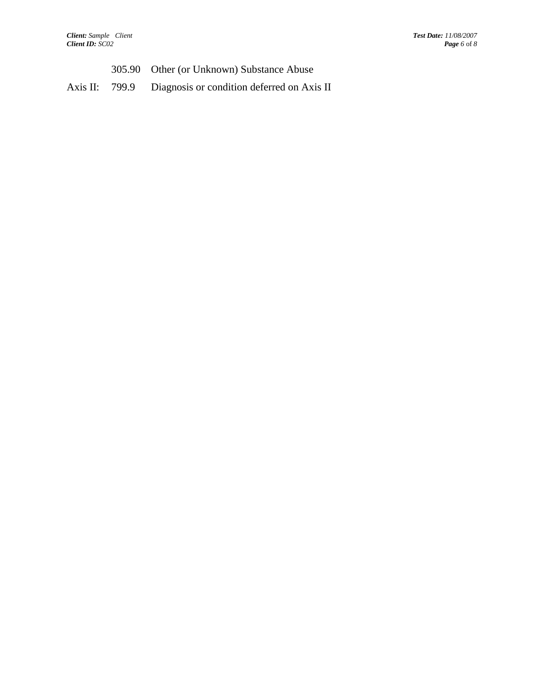- 305.90 Other (or Unknown) Substance Abuse
- Axis II: 799.9 Diagnosis or condition deferred on Axis II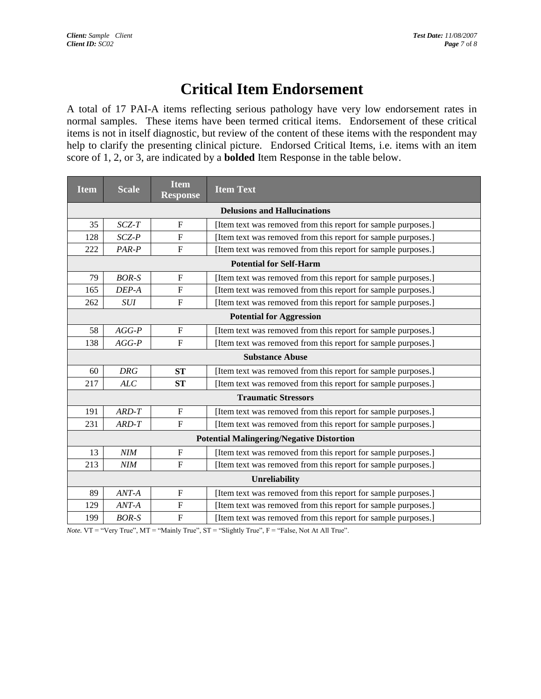# **Critical Item Endorsement**

A total of 17 PAI-A items reflecting serious pathology have very low endorsement rates in normal samples. These items have been termed critical items. Endorsement of these critical items is not in itself diagnostic, but review of the content of these items with the respondent may help to clarify the presenting clinical picture. Endorsed Critical Items, i.e. items with an item score of 1, 2, or 3, are indicated by a **bolded** Item Response in the table below.

| <b>Item</b>                                      | <b>Scale</b> | <b>Item</b><br><b>Response</b> | <b>Item Text</b>                                              |  |  |  |  |  |
|--------------------------------------------------|--------------|--------------------------------|---------------------------------------------------------------|--|--|--|--|--|
| <b>Delusions and Hallucinations</b>              |              |                                |                                                               |  |  |  |  |  |
| 35                                               | $SCZ-T$      | $\mathbf{F}$                   | [Item text was removed from this report for sample purposes.] |  |  |  |  |  |
| 128                                              | SCZ-P        | ${\bf F}$                      | [Item text was removed from this report for sample purposes.] |  |  |  |  |  |
| 222                                              | PAR-P        | $\mathbf{F}$                   | [Item text was removed from this report for sample purposes.] |  |  |  |  |  |
| <b>Potential for Self-Harm</b>                   |              |                                |                                                               |  |  |  |  |  |
| 79                                               | $BOR-S$      | $\mathbf{F}$                   | [Item text was removed from this report for sample purposes.] |  |  |  |  |  |
| 165                                              | DEP-A        | ${\bf F}$                      | [Item text was removed from this report for sample purposes.] |  |  |  |  |  |
| 262                                              | <b>SUI</b>   | ${\bf F}$                      | [Item text was removed from this report for sample purposes.] |  |  |  |  |  |
| <b>Potential for Aggression</b>                  |              |                                |                                                               |  |  |  |  |  |
| 58                                               | $AGG-P$      | $\mathbf F$                    | [Item text was removed from this report for sample purposes.] |  |  |  |  |  |
| 138                                              | $AGG-P$      | $\boldsymbol{\mathrm{F}}$      | [Item text was removed from this report for sample purposes.] |  |  |  |  |  |
| <b>Substance Abuse</b>                           |              |                                |                                                               |  |  |  |  |  |
| 60                                               | <b>DRG</b>   | <b>ST</b>                      | [Item text was removed from this report for sample purposes.] |  |  |  |  |  |
| 217                                              | ALC          | <b>ST</b>                      | [Item text was removed from this report for sample purposes.] |  |  |  |  |  |
| <b>Traumatic Stressors</b>                       |              |                                |                                                               |  |  |  |  |  |
| 191                                              | $ARD-T$      | $\boldsymbol{\mathrm{F}}$      | [Item text was removed from this report for sample purposes.] |  |  |  |  |  |
| 231                                              | ARD-T        | $\mathbf F$                    | [Item text was removed from this report for sample purposes.] |  |  |  |  |  |
| <b>Potential Malingering/Negative Distortion</b> |              |                                |                                                               |  |  |  |  |  |
| 13                                               | NIM          | $\mathbf F$                    | [Item text was removed from this report for sample purposes.] |  |  |  |  |  |
| 213                                              | NIM          | F                              | [Item text was removed from this report for sample purposes.] |  |  |  |  |  |
| <b>Unreliability</b>                             |              |                                |                                                               |  |  |  |  |  |
| 89                                               | $ANT-A$      | $\mathbf F$                    | [Item text was removed from this report for sample purposes.] |  |  |  |  |  |
| 129                                              | ANT-A        | $\mathbf{F}$                   | [Item text was removed from this report for sample purposes.] |  |  |  |  |  |
| 199                                              | <b>BOR-S</b> | $\boldsymbol{\mathrm{F}}$      | [Item text was removed from this report for sample purposes.] |  |  |  |  |  |

*Note.*  $VT = "Very True", MT = "Mainly True", ST = "Slightly True", F = "False, Not At All True".$